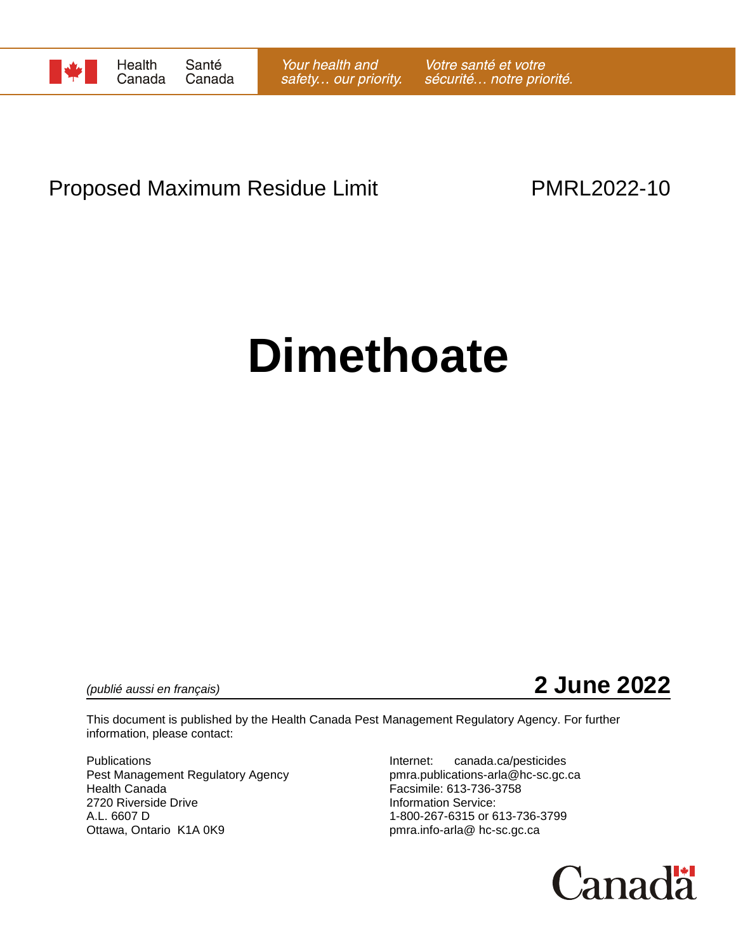

## Proposed Maximum Residue Limit **PMRL2022-10**

# **Dimethoate**

*(publié aussi en français)* **2 June 2022**

This document is published by the Health Canada Pest Management Regulatory Agency. For further information, please contact:

Publications **Internet:** canada.ca/pesticides Pest Management Regulatory Agency entity pmra.publications-arla@hc-sc.gc.ca<br>
Health Canada<br>
Facsimile: 613-736-3758 2720 Riverside Drive **Information Service:** A.L. 6607 D 1-800-267-6315 or 613-736-3799 Ottawa, Ontario K1A 0K9 **bulga in the contract of the pmra.info-arla@** hc-sc.gc.ca

Facsimile: 613-736-3758

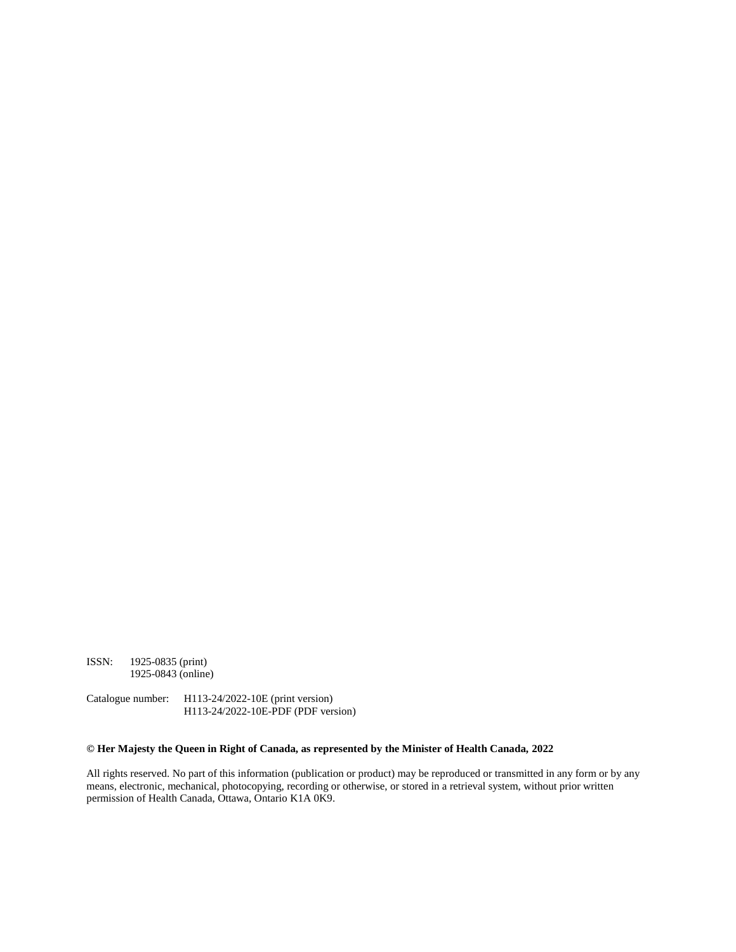ISSN: 1925-0835 (print) 1925-0843 (online)

Catalogue number: H113-24/2022-10E (print version) H113-24/2022-10E-PDF (PDF version)

#### **© Her Majesty the Queen in Right of Canada, as represented by the Minister of Health Canada, 2022**

All rights reserved. No part of this information (publication or product) may be reproduced or transmitted in any form or by any means, electronic, mechanical, photocopying, recording or otherwise, or stored in a retrieval system, without prior written permission of Health Canada, Ottawa, Ontario K1A 0K9.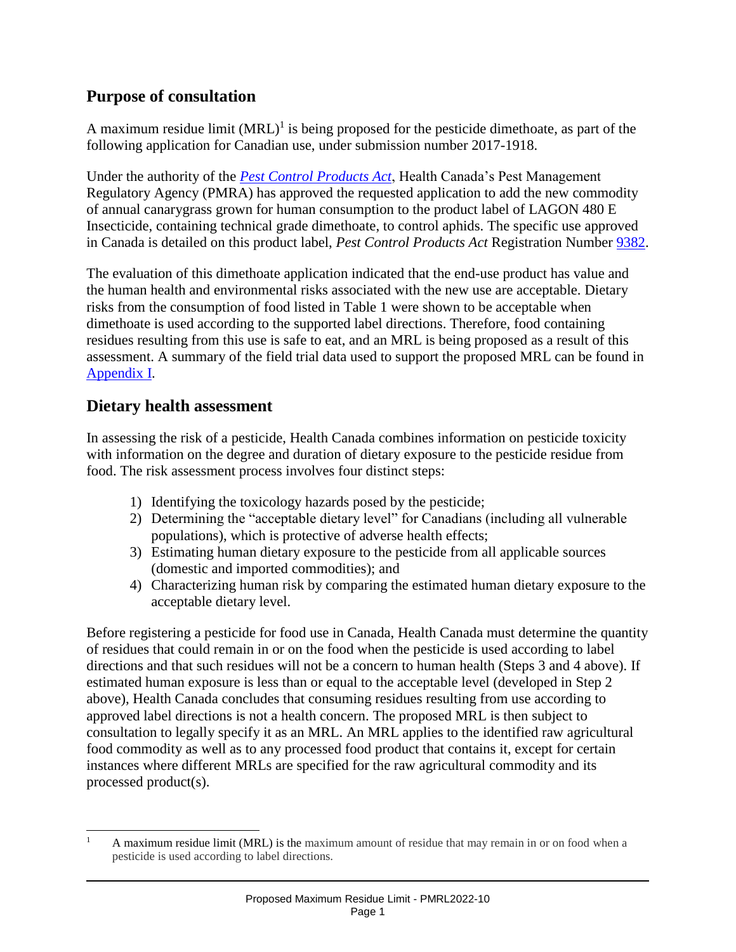### **Purpose of consultation**

A maximum residue limit  $(MRL)^{1}$  is being proposed for the pesticide dimethoate, as part of the following application for Canadian use, under submission number 2017-1918.

Under the authority of the *[Pest Control Products Act](http://laws-lois.justice.gc.ca/eng/acts/P-9.01/)*, Health Canada's Pest Management Regulatory Agency (PMRA) has approved the requested application to add the new commodity of annual canarygrass grown for human consumption to the product label of LAGON 480 E Insecticide, containing technical grade dimethoate, to control aphids. The specific use approved in Canada is detailed on this product label, *Pest Control Products Act* Registration Number [9382.](https://pr-rp.hc-sc.gc.ca/ls-re/index-eng.php)

The evaluation of this dimethoate application indicated that the end-use product has value and the human health and environmental risks associated with the new use are acceptable. Dietary risks from the consumption of food listed in Table 1 were shown to be acceptable when dimethoate is used according to the supported label directions. Therefore, food containing residues resulting from this use is safe to eat, and an MRL is being proposed as a result of this assessment. A summary of the field trial data used to support the proposed MRL can be found in [Appendix I.](#page-4-0)

#### **Dietary health assessment**

 $\overline{\phantom{a}}$ 

In assessing the risk of a pesticide, Health Canada combines information on pesticide toxicity with information on the degree and duration of dietary exposure to the pesticide residue from food. The risk assessment process involves four distinct steps:

- 1) Identifying the toxicology hazards posed by the pesticide;
- 2) Determining the "acceptable dietary level" for Canadians (including all vulnerable populations), which is protective of adverse health effects;
- 3) Estimating human dietary exposure to the pesticide from all applicable sources (domestic and imported commodities); and
- 4) Characterizing human risk by comparing the estimated human dietary exposure to the acceptable dietary level.

Before registering a pesticide for food use in Canada, Health Canada must determine the quantity of residues that could remain in or on the food when the pesticide is used according to label directions and that such residues will not be a concern to human health (Steps 3 and 4 above). If estimated human exposure is less than or equal to the acceptable level (developed in Step 2 above), Health Canada concludes that consuming residues resulting from use according to approved label directions is not a health concern. The proposed MRL is then subject to consultation to legally specify it as an MRL. An MRL applies to the identified raw agricultural food commodity as well as to any processed food product that contains it, except for certain instances where different MRLs are specified for the raw agricultural commodity and its processed product(s).

<sup>&</sup>lt;sup>1</sup> A maximum residue limit (MRL) is the maximum amount of residue that may remain in or on food when a pesticide is used according to label directions.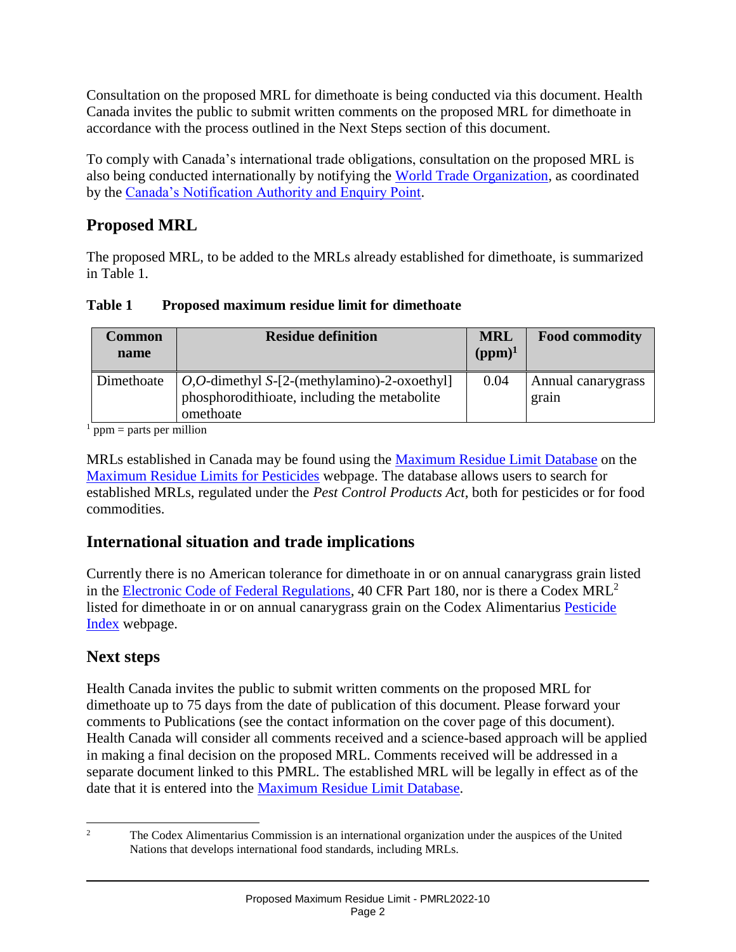Consultation on the proposed MRL for dimethoate is being conducted via this document. Health Canada invites the public to submit written comments on the proposed MRL for dimethoate in accordance with the process outlined in the Next Steps section of this document.

To comply with Canada's international trade obligations, consultation on the proposed MRL is also being conducted internationally by notifying the [World Trade Organization,](http://www.wto.org/) as coordinated by the [Canada's Notification Authority and Enquiry Point.](http://www.international.gc.ca/trade-agreements-accords-commerciaux/wto-omc/enquiry.aspx?lang=eng)

## **Proposed MRL**

The proposed MRL, to be added to the MRLs already established for dimethoate, is summarized in Table 1.

| Table 1 | Proposed maximum residue limit for dimethoate |  |
|---------|-----------------------------------------------|--|
|         |                                               |  |

| <b>Common</b><br>name | <b>Residue definition</b>                                                                                                    | <b>MRL</b><br>$(ppm)^1$ | <b>Food commodity</b>       |
|-----------------------|------------------------------------------------------------------------------------------------------------------------------|-------------------------|-----------------------------|
| Dimethoate            | <i>O</i> , <i>O</i> -dimethyl $S-[2-(\text{methylamino})-2-\text{oxoethyl}]$<br>phosphorodithicate, including the metabolite | 0.04                    | Annual canarygrass<br>grain |
|                       | omethoate<br>                                                                                                                |                         |                             |

 $<sup>1</sup>$  ppm = parts per million</sup>

MRLs established in Canada may be found using the [Maximum Residue Limit Database](https://pest-control.canada.ca/pesticide-registry/en/disclaimer-page.html) on the [Maximum Residue Limits for Pesticides](https://www.canada.ca/en/health-canada/services/consumer-product-safety/pesticides-pest-management/public/protecting-your-health-environment/pesticides-food/maximum-residue-limits-pesticides.html) webpage. The database allows users to search for established MRLs, regulated under the *Pest Control Products Act*, both for pesticides or for food commodities.

## **International situation and trade implications**

Currently there is no American tolerance for dimethoate in or on annual canarygrass grain listed in the [Electronic Code of Federal Regulations,](https://www.ecfr.gov/current/title-40/chapter-I/subchapter-E/part-180) 40 CFR Part 180, nor is there a Codex MRL<sup>2</sup> listed for dimethoate in or on annual canarygrass grain on the Codex Alimentarius [Pesticide](http://www.fao.org/fao-who-codexalimentarius/codex-texts/dbs/pestres/pesticides/en/)  [Index](http://www.fao.org/fao-who-codexalimentarius/codex-texts/dbs/pestres/pesticides/en/) webpage.

## **Next steps**

Health Canada invites the public to submit written comments on the proposed MRL for dimethoate up to 75 days from the date of publication of this document. Please forward your comments to Publications (see the contact information on the cover page of this document). Health Canada will consider all comments received and a science-based approach will be applied in making a final decision on the proposed MRL. Comments received will be addressed in a separate document linked to this PMRL. The established MRL will be legally in effect as of the date that it is entered into the [Maximum Residue Limit Database.](https://pest-control.canada.ca/pesticide-registry/en/disclaimer-page.html)

 $\overline{c}$ <sup>2</sup> The Codex Alimentarius Commission is an international organization under the auspices of the United Nations that develops international food standards, including MRLs.